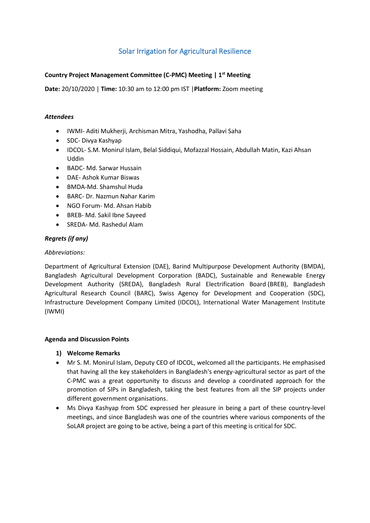# Solar Irrigation for Agricultural Resilience

# **Country Project Management Committee (C-PMC) Meeting | 1st Meeting**

**Date:** 20/10/2020 | **Time:** 10:30 am to 12:00 pm IST |**Platform:** Zoom meeting

## *Attendees*

- IWMI- Aditi Mukherji, Archisman Mitra, Yashodha, Pallavi Saha
- SDC- Divya Kashyap
- IDCOL- S.M. Monirul Islam, Belal Siddiqui, Mofazzal Hossain, Abdullah Matin, Kazi Ahsan Uddin
- BADC- Md. Sarwar Hussain
- DAE- Ashok Kumar Biswas
- BMDA-Md. Shamshul Huda
- BARC- Dr. Nazmun Nahar Karim
- NGO Forum- Md. Ahsan Habib
- BREB- Md. Sakil Ibne Sayeed
- SREDA- Md. Rashedul Alam

## *Regrets (if any)*

#### *Abbreviations:*

Department of Agricultural Extension (DAE), Barind Multipurpose Development Authority (BMDA), Bangladesh Agricultural Development Corporation (BADC), Sustainable and Renewable Energy Development Authority (SREDA), Bangladesh Rural Electrification Board (BREB), Bangladesh Agricultural Research Council (BARC), Swiss Agency for Development and Cooperation (SDC), Infrastructure Development Company Limited (IDCOL), International Water Management Institute (IWMI)

#### **Agenda and Discussion Points**

#### **1) Welcome Remarks**

- Mr S. M. Monirul Islam, Deputy CEO of IDCOL, welcomed all the participants. He emphasised that having all the key stakeholders in Bangladesh's energy-agricultural sector as part of the C-PMC was a great opportunity to discuss and develop a coordinated approach for the promotion of SIPs in Bangladesh, taking the best features from all the SIP projects under different government organisations.
- Ms Divya Kashyap from SDC expressed her pleasure in being a part of these country-level meetings, and since Bangladesh was one of the countries where various components of the SoLAR project are going to be active, being a part of this meeting is critical for SDC.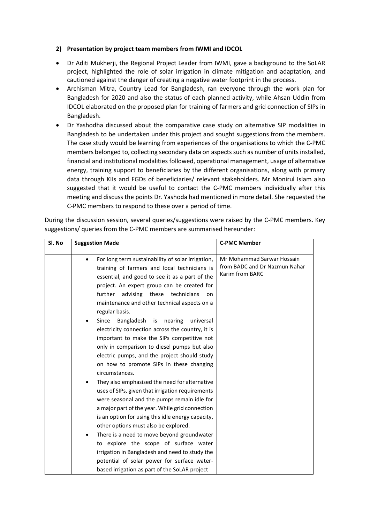## **2) Presentation by project team members from IWMI and IDCOL**

- Dr Aditi Mukherji, the Regional Project Leader from IWMI, gave a background to the SoLAR project, highlighted the role of solar irrigation in climate mitigation and adaptation, and cautioned against the danger of creating a negative water footprint in the process.
- Archisman Mitra, Country Lead for Bangladesh, ran everyone through the work plan for Bangladesh for 2020 and also the status of each planned activity, while Ahsan Uddin from IDCOL elaborated on the proposed plan for training of farmers and grid connection of SIPs in Bangladesh.
- Dr Yashodha discussed about the comparative case study on alternative SIP modalities in Bangladesh to be undertaken under this project and sought suggestions from the members. The case study would be learning from experiences of the organisations to which the C-PMC members belonged to, collecting secondary data on aspects such as number of units installed, financial and institutional modalities followed, operational management, usage of alternative energy, training support to beneficiaries by the different organisations, along with primary data through KIIs and FGDs of beneficiaries/ relevant stakeholders. Mr Monirul Islam also suggested that it would be useful to contact the C-PMC members individually after this meeting and discuss the points Dr. Yashoda had mentioned in more detail. She requested the C-PMC members to respond to these over a period of time.

During the discussion session, several queries/suggestions were raised by the C-PMC members. Key suggestions/ queries from the C-PMC members are summarised hereunder:

| Sl. No | <b>Suggestion Made</b>                                                                                                                                                                                                                                                                                                                                                                                                                                                                                                                                                                                                                                                                                                                                                                                                                                        | <b>C-PMC Member</b>                                                            |
|--------|---------------------------------------------------------------------------------------------------------------------------------------------------------------------------------------------------------------------------------------------------------------------------------------------------------------------------------------------------------------------------------------------------------------------------------------------------------------------------------------------------------------------------------------------------------------------------------------------------------------------------------------------------------------------------------------------------------------------------------------------------------------------------------------------------------------------------------------------------------------|--------------------------------------------------------------------------------|
|        |                                                                                                                                                                                                                                                                                                                                                                                                                                                                                                                                                                                                                                                                                                                                                                                                                                                               |                                                                                |
|        | For long term sustainability of solar irrigation,<br>training of farmers and local technicians is<br>essential, and good to see it as a part of the<br>project. An expert group can be created for<br>further<br>advising these technicians<br>on<br>maintenance and other technical aspects on a<br>regular basis.                                                                                                                                                                                                                                                                                                                                                                                                                                                                                                                                           | Mr Mohammad Sarwar Hossain<br>from BADC and Dr Nazmun Nahar<br>Karim from BARC |
|        | Since<br>Bangladesh<br>nearing<br>universal<br>is<br>electricity connection across the country, it is<br>important to make the SIPs competitive not<br>only in comparison to diesel pumps but also<br>electric pumps, and the project should study<br>on how to promote SIPs in these changing<br>circumstances.<br>They also emphasised the need for alternative<br>uses of SIPs, given that irrigation requirements<br>were seasonal and the pumps remain idle for<br>a major part of the year. While grid connection<br>is an option for using this idle energy capacity,<br>other options must also be explored.<br>There is a need to move beyond groundwater<br>to explore the scope of surface water<br>irrigation in Bangladesh and need to study the<br>potential of solar power for surface water-<br>based irrigation as part of the SoLAR project |                                                                                |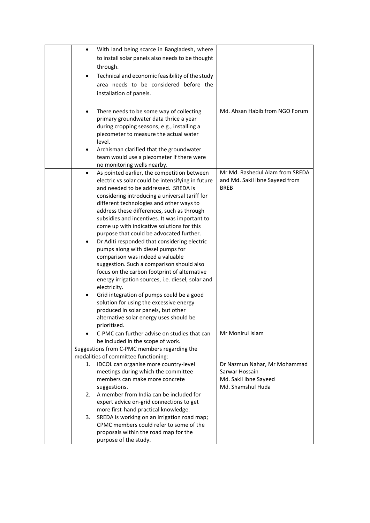| $\bullet$ | With land being scarce in Bangladesh, where                                                 |                                               |
|-----------|---------------------------------------------------------------------------------------------|-----------------------------------------------|
|           | to install solar panels also needs to be thought                                            |                                               |
|           | through.                                                                                    |                                               |
|           | Technical and economic feasibility of the study                                             |                                               |
|           | area needs to be considered before the                                                      |                                               |
|           | installation of panels.                                                                     |                                               |
|           |                                                                                             |                                               |
|           |                                                                                             |                                               |
| $\bullet$ | There needs to be some way of collecting                                                    | Md. Ahsan Habib from NGO Forum                |
|           | primary groundwater data thrice a year                                                      |                                               |
|           | during cropping seasons, e.g., installing a                                                 |                                               |
|           | piezometer to measure the actual water                                                      |                                               |
|           | level.                                                                                      |                                               |
| $\bullet$ | Archisman clarified that the groundwater                                                    |                                               |
|           | team would use a piezometer if there were                                                   |                                               |
|           | no monitoring wells nearby.                                                                 |                                               |
| $\bullet$ | As pointed earlier, the competition between                                                 | Mr Md. Rashedul Alam from SREDA               |
|           | electric vs solar could be intensifying in future<br>and needed to be addressed. SREDA is   | and Md. Sakil Ibne Sayeed from<br><b>BREB</b> |
|           |                                                                                             |                                               |
|           | considering introducing a universal tariff for                                              |                                               |
|           | different technologies and other ways to<br>address these differences, such as through      |                                               |
|           |                                                                                             |                                               |
|           | subsidies and incentives. It was important to<br>come up with indicative solutions for this |                                               |
|           | purpose that could be advocated further.                                                    |                                               |
|           | Dr Aditi responded that considering electric                                                |                                               |
|           | pumps along with diesel pumps for                                                           |                                               |
|           | comparison was indeed a valuable                                                            |                                               |
|           | suggestion. Such a comparison should also                                                   |                                               |
|           | focus on the carbon footprint of alternative                                                |                                               |
|           | energy irrigation sources, i.e. diesel, solar and                                           |                                               |
|           | electricity.                                                                                |                                               |
| ٠         | Grid integration of pumps could be a good                                                   |                                               |
|           | solution for using the excessive energy                                                     |                                               |
|           | produced in solar panels, but other                                                         |                                               |
|           | alternative solar energy uses should be                                                     |                                               |
|           | prioritised.                                                                                |                                               |
| $\bullet$ | C-PMC can further advise on studies that can                                                | Mr Monirul Islam                              |
|           | be included in the scope of work.                                                           |                                               |
|           | Suggestions from C-PMC members regarding the                                                |                                               |
|           | modalities of committee functioning:                                                        |                                               |
| 1.        | IDCOL can organise more country-level                                                       | Dr Nazmun Nahar, Mr Mohammad                  |
|           | meetings during which the committee                                                         | Sarwar Hossain                                |
|           | members can make more concrete                                                              | Md. Sakil Ibne Sayeed                         |
|           | suggestions.                                                                                | Md. Shamshul Huda                             |
| 2.        | A member from India can be included for                                                     |                                               |
|           | expert advice on-grid connections to get                                                    |                                               |
|           | more first-hand practical knowledge.                                                        |                                               |
| 3.        | SREDA is working on an irrigation road map;                                                 |                                               |
|           | CPMC members could refer to some of the                                                     |                                               |
|           | proposals within the road map for the                                                       |                                               |
|           | purpose of the study.                                                                       |                                               |